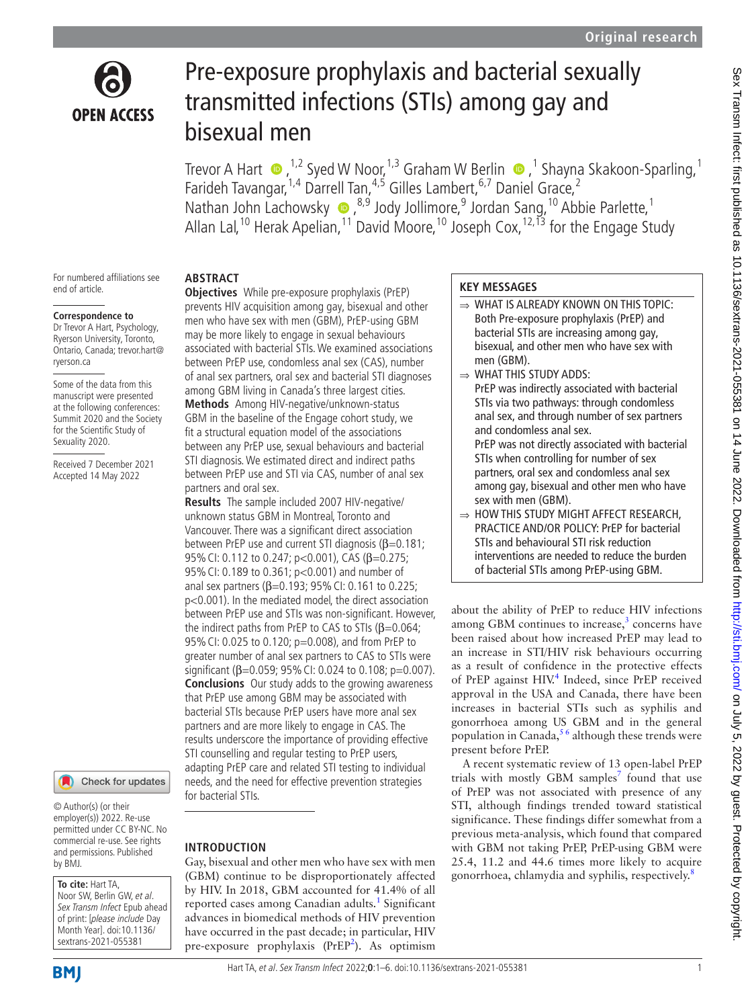

# Pre-exposure prophylaxis and bacterial sexually transmitted infections (STIs) among gay and bisexual men

Trevor A Hart  $\bullet$  ,  $^{1,2}$  Syed W Noor,  $^{1,3}$  Graham W Berlin  $\bullet$  ,  $^{1}$  Shayna Skakoon-Sparling,  $^{1}$ Farideh Tavangar,<sup>1,4</sup> Darrell Tan,<sup>4,5</sup> Gilles Lambert,<sup>6,7</sup> Daniel Grace,<sup>2</sup> Nathan John Lachowsky  $\bullet$ ,<sup>8,9</sup> Jody Jollimore,<sup>9</sup> Jordan Sang,<sup>10</sup> Abbie Parlette,<sup>1</sup> Allan Lal,<sup>10</sup> Herak Apelian,<sup>11</sup> David Moore,<sup>10</sup> Joseph Cox,<sup>12,13</sup> for the Engage Study

For numbered affiliations see end of article.

#### **Correspondence to**

Dr Trevor A Hart, Psychology, Ryerson University, Toronto, Ontario, Canada; trevor.hart@ ryerson.ca

Some of the data from this manuscript were presented at the following conferences: Summit 2020 and the Society for the Scientific Study of Sexuality 2020.

Received 7 December 2021 Accepted 14 May 2022



© Author(s) (or their employer(s)) 2022. Re-use permitted under CC BY-NC. No commercial re-use. See rights and permissions. Published by BMJ.

#### **To cite:** Hart TA, Noor SW, Berlin GW, et al.

Sex Transm Infect Epub ahead of print: [please include Day Month Year]. doi:10.1136/ sextrans-2021-055381

## **ABSTRACT**

**Objectives** While pre-exposure prophylaxis (PrEP) prevents HIV acquisition among gay, bisexual and other men who have sex with men (GBM), PrEP-using GBM may be more likely to engage in sexual behaviours associated with bacterial STIs. We examined associations between PrEP use, condomless anal sex (CAS), number of anal sex partners, oral sex and bacterial STI diagnoses among GBM living in Canada's three largest cities. **Methods** Among HIV-negative/unknown-status GBM in the baseline of the Engage cohort study, we fit a structural equation model of the associations between any PrEP use, sexual behaviours and bacterial STI diagnosis. We estimated direct and indirect paths between PrEP use and STI via CAS, number of anal sex partners and oral sex.

**Results** The sample included 2007 HIV-negative/ unknown status GBM in Montreal, Toronto and Vancouver. There was a significant direct association between PrEP use and current STI diagnosis (β=0.181; 95% CI: 0.112 to 0.247; p<0.001), CAS (β=0.275; 95%CI: 0.189 to 0.361; p<0.001) and number of anal sex partners (β=0.193; 95%CI: 0.161 to 0.225; p<0.001). In the mediated model, the direct association between PrEP use and STIs was non-significant. However, the indirect paths from PrEP to CAS to STIs  $(\beta=0.064)$ ; 95%CI: 0.025 to 0.120; p=0.008), and from PrEP to greater number of anal sex partners to CAS to STIs were significant (β=0.059; 95% CI: 0.024 to 0.108; p=0.007). **Conclusions** Our study adds to the growing awareness that PrEP use among GBM may be associated with bacterial STIs because PrEP users have more anal sex partners and are more likely to engage in CAS. The results underscore the importance of providing effective STI counselling and regular testing to PrEP users, adapting PrEP care and related STI testing to individual needs, and the need for effective prevention strategies for bacterial STIs.

## **INTRODUCTION**

Gay, bisexual and other men who have sex with men (GBM) continue to be disproportionately affected by HIV. In 2018, GBM accounted for 41.4% of all reported cases among Canadian adults.<sup>[1](#page-5-0)</sup> Significant advances in biomedical methods of HIV prevention have occurred in the past decade; in particular, HIV pre-exposure prophylaxis ( $PrEP<sup>2</sup>$  $PrEP<sup>2</sup>$  $PrEP<sup>2</sup>$ ). As optimism

### **KEY MESSAGES**

- ⇒ WHAT IS ALREADY KNOWN ON THIS TOPIC: Both Pre-exposure prophylaxis (PrEP) and bacterial STIs are increasing among gay, bisexual, and other men who have sex with men (GBM).
- ⇒ WHAT THIS STUDY ADDS: PrEP was indirectly associated with bacterial STIs via two pathways: through condomless anal sex, and through number of sex partners and condomless anal sex.

PrEP was not directly associated with bacterial STIs when controlling for number of sex partners, oral sex and condomless anal sex among gay, bisexual and other men who have sex with men (GBM).

⇒ HOW THIS STUDY MIGHT AFFECT RESEARCH. PRACTICE AND/OR POLICY: PrEP for bacterial STIs and behavioural STI risk reduction interventions are needed to reduce the burden of bacterial STIs among PrEP-using GBM.

about the ability of PrEP to reduce HIV infections among GBM continues to increase, $3$  concerns have been raised about how increased PrEP may lead to an increase in STI/HIV risk behaviours occurring as a result of confidence in the protective effects of PrEP against HIV.<sup>[4](#page-5-3)</sup> Indeed, since PrEP received approval in the USA and Canada, there have been increases in bacterial STIs such as syphilis and gonorrhoea among US GBM and in the general population in Canada,<sup>56</sup> although these trends were present before PrEP.

A recent systematic review of 13 open-label PrEP trials with mostly GBM samples<sup>7</sup> found that use of PrEP was not associated with presence of any STI, although findings trended toward statistical significance. These findings differ somewhat from a previous meta-analysis, which found that compared with GBM not taking PrEP, PrEP-using GBM were 25.4, 11.2 and 44.6 times more likely to acquire gonorrhoea, chlamydia and syphilis, respectively.<sup>[8](#page-5-6)</sup>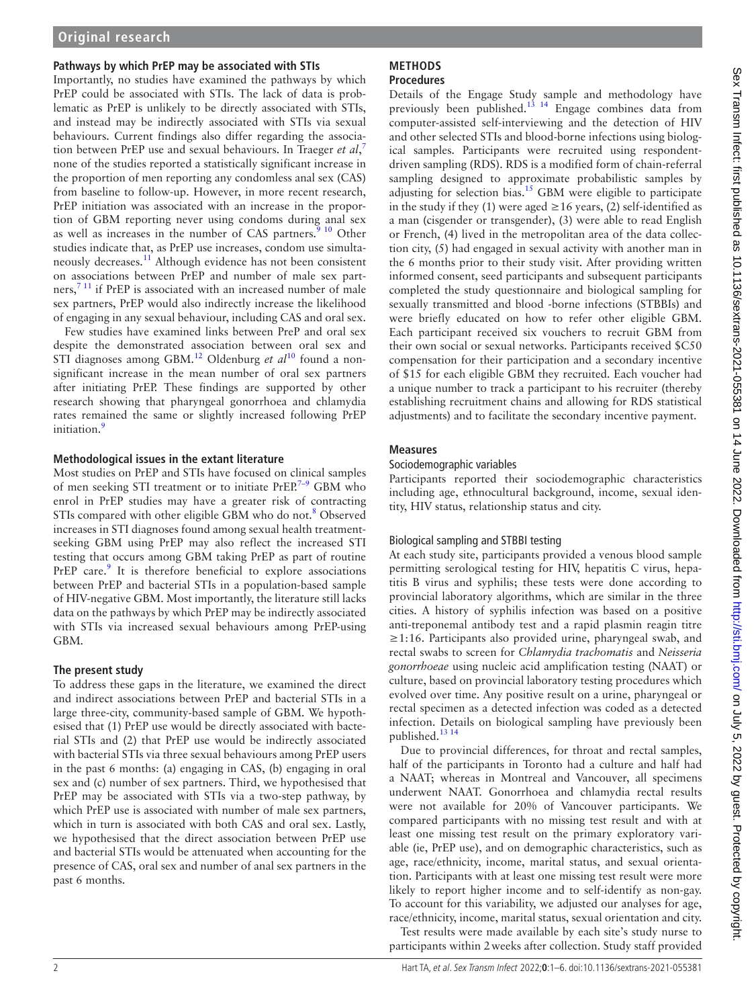### **Pathways by which PrEP may be associated with STIs**

Importantly, no studies have examined the pathways by which PrEP could be associated with STIs. The lack of data is problematic as PrEP is unlikely to be directly associated with STIs, and instead may be indirectly associated with STIs via sexual behaviours. Current findings also differ regarding the association between PrEP use and sexual behaviours. In Traeger *et al*, [7](#page-5-5) none of the studies reported a statistically significant increase in the proportion of men reporting any condomless anal sex (CAS) from baseline to follow-up. However, in more recent research, PrEP initiation was associated with an increase in the proportion of GBM reporting never using condoms during anal sex as well as increases in the number of CAS partners.<sup>9</sup> <sup>10</sup> Other studies indicate that, as PrEP use increases, condom use simulta-neously decreases.<sup>[11](#page-5-8)</sup> Although evidence has not been consistent on associations between PrEP and number of male sex partners,[7 11](#page-5-5) if PrEP is associated with an increased number of male sex partners, PrEP would also indirectly increase the likelihood of engaging in any sexual behaviour, including CAS and oral sex.

Few studies have examined links between PreP and oral sex despite the demonstrated association between oral sex and STI diagnoses among GBM[.12](#page-5-9) Oldenburg *et al*[10](#page-5-10) found a nonsignificant increase in the mean number of oral sex partners after initiating PrEP. These findings are supported by other research showing that pharyngeal gonorrhoea and chlamydia rates remained the same or slightly increased following PrEP initiation.<sup>[9](#page-5-7)</sup>

#### **Methodological issues in the extant literature**

Most studies on PrEP and STIs have focused on clinical samples of men seeking STI treatment or to initiate PrEP.<sup>7-9</sup> GBM who enrol in PrEP studies may have a greater risk of contracting STIs compared with other eligible GBM who do not.<sup>8</sup> Observed increases in STI diagnoses found among sexual health treatmentseeking GBM using PrEP may also reflect the increased STI testing that occurs among GBM taking PrEP as part of routine PrEP care. $9$  It is therefore beneficial to explore associations between PrEP and bacterial STIs in a population-based sample of HIV-negative GBM. Most importantly, the literature still lacks data on the pathways by which PrEP may be indirectly associated with STIs via increased sexual behaviours among PrEP-using GBM.

#### **The present study**

To address these gaps in the literature, we examined the direct and indirect associations between PrEP and bacterial STIs in a large three-city, community-based sample of GBM. We hypothesised that (1) PrEP use would be directly associated with bacterial STIs and (2) that PrEP use would be indirectly associated with bacterial STIs via three sexual behaviours among PrEP users in the past 6 months: (a) engaging in CAS, (b) engaging in oral sex and (c) number of sex partners. Third, we hypothesised that PrEP may be associated with STIs via a two-step pathway, by which PrEP use is associated with number of male sex partners, which in turn is associated with both CAS and oral sex. Lastly, we hypothesised that the direct association between PrEP use and bacterial STIs would be attenuated when accounting for the presence of CAS, oral sex and number of anal sex partners in the past 6 months.

#### **METHODS Procedures**

Details of the Engage Study sample and methodology have previously been published.<sup>13 14</sup> Engage combines data from computer-assisted self-interviewing and the detection of HIV and other selected STIs and blood-borne infections using biological samples. Participants were recruited using respondentdriven sampling (RDS). RDS is a modified form of chain-referral sampling designed to approximate probabilistic samples by adjusting for selection bias.[15](#page-5-12) GBM were eligible to participate in the study if they (1) were aged  $\geq$  16 years, (2) self-identified as a man (cisgender or transgender), (3) were able to read English or French, (4) lived in the metropolitan area of the data collection city, (5) had engaged in sexual activity with another man in the 6 months prior to their study visit. After providing written informed consent, seed participants and subsequent participants completed the study questionnaire and biological sampling for sexually transmitted and blood -borne infections (STBBIs) and were briefly educated on how to refer other eligible GBM. Each participant received six vouchers to recruit GBM from their own social or sexual networks. Participants received \$C50 compensation for their participation and a secondary incentive of \$15 for each eligible GBM they recruited. Each voucher had a unique number to track a participant to his recruiter (thereby establishing recruitment chains and allowing for RDS statistical adjustments) and to facilitate the secondary incentive payment.

### **Measures**

#### Sociodemographic variables

Participants reported their sociodemographic characteristics including age, ethnocultural background, income, sexual identity, HIV status, relationship status and city.

#### Biological sampling and STBBI testing

At each study site, participants provided a venous blood sample permitting serological testing for HIV, hepatitis C virus, hepatitis B virus and syphilis; these tests were done according to provincial laboratory algorithms, which are similar in the three cities. A history of syphilis infection was based on a positive anti-treponemal antibody test and a rapid plasmin reagin titre ≥1:16. Participants also provided urine, pharyngeal swab, and rectal swabs to screen for *Chlamydia trachomatis* and *Neisseria gonorrhoeae* using nucleic acid amplification testing (NAAT) or culture, based on provincial laboratory testing procedures which evolved over time. Any positive result on a urine, pharyngeal or rectal specimen as a detected infection was coded as a detected infection. Details on biological sampling have previously been published.<sup>13</sup> <sup>14</sup>

Due to provincial differences, for throat and rectal samples, half of the participants in Toronto had a culture and half had a NAAT; whereas in Montreal and Vancouver, all specimens underwent NAAT. Gonorrhoea and chlamydia rectal results were not available for 20% of Vancouver participants. We compared participants with no missing test result and with at least one missing test result on the primary exploratory variable (ie, PrEP use), and on demographic characteristics, such as age, race/ethnicity, income, marital status, and sexual orientation. Participants with at least one missing test result were more likely to report higher income and to self-identify as non-gay. To account for this variability, we adjusted our analyses for age, race/ethnicity, income, marital status, sexual orientation and city.

Test results were made available by each site's study nurse to participants within 2weeks after collection. Study staff provided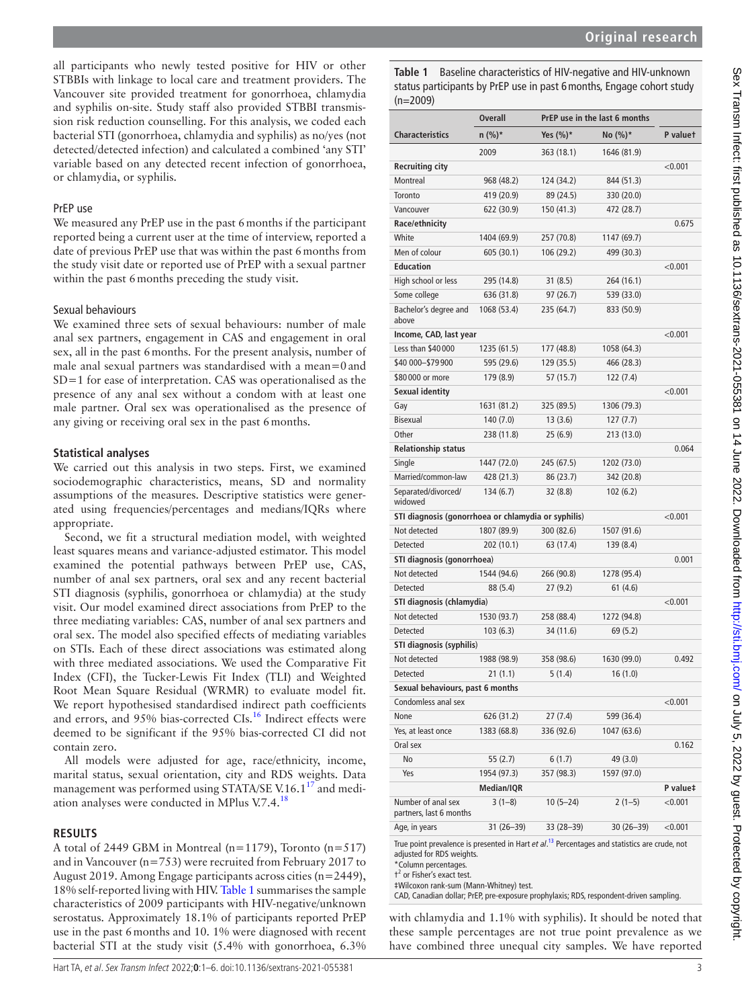all participants who newly tested positive for HIV or other STBBIs with linkage to local care and treatment providers. The Vancouver site provided treatment for gonorrhoea, chlamydia and syphilis on-site. Study staff also provided STBBI transmission risk reduction counselling. For this analysis, we coded each bacterial STI (gonorrhoea, chlamydia and syphilis) as no/yes (not detected/detected infection) and calculated a combined 'any STI' variable based on any detected recent infection of gonorrhoea, or chlamydia, or syphilis.

#### PrEP use

We measured any PrEP use in the past 6 months if the participant reported being a current user at the time of interview, reported a date of previous PrEP use that was within the past 6months from the study visit date or reported use of PrEP with a sexual partner within the past 6 months preceding the study visit.

#### Sexual behaviours

We examined three sets of sexual behaviours: number of male anal sex partners, engagement in CAS and engagement in oral sex, all in the past 6months. For the present analysis, number of male anal sexual partners was standardised with a mean=0and SD=1 for ease of interpretation. CAS was operationalised as the presence of any anal sex without a condom with at least one male partner. Oral sex was operationalised as the presence of any giving or receiving oral sex in the past 6months.

#### **Statistical analyses**

We carried out this analysis in two steps. First, we examined sociodemographic characteristics, means, SD and normality assumptions of the measures. Descriptive statistics were generated using frequencies/percentages and medians/IQRs where appropriate.

Second, we fit a structural mediation model, with weighted least squares means and variance-adjusted estimator. This model examined the potential pathways between PrEP use, CAS, number of anal sex partners, oral sex and any recent bacterial STI diagnosis (syphilis, gonorrhoea or chlamydia) at the study visit. Our model examined direct associations from PrEP to the three mediating variables: CAS, number of anal sex partners and oral sex. The model also specified effects of mediating variables on STIs. Each of these direct associations was estimated along with three mediated associations. We used the Comparative Fit Index (CFI), the Tucker-Lewis Fit Index (TLI) and Weighted Root Mean Square Residual (WRMR) to evaluate model fit. We report hypothesised standardised indirect path coefficients and errors, and 95% bias-corrected CIs.<sup>16</sup> Indirect effects were deemed to be significant if the 95% bias-corrected CI did not contain zero.

All models were adjusted for age, race/ethnicity, income, marital status, sexual orientation, city and RDS weights. Data management was performed using STATA/SE V.16.1 $^{17}$  and mediation analyses were conducted in MPlus V.7.4.[18](#page-5-15)

#### **RESULTS**

A total of 2449 GBM in Montreal (n=1179), Toronto (n=517) and in Vancouver (n=753) were recruited from February 2017 to August 2019. Among Engage participants across cities (n=2449), 18% self-reported living with HIV. [Table](#page-2-0) 1 summarises the sample characteristics of 2009 participants with HIV-negative/unknown serostatus. Approximately 18.1% of participants reported PrEP use in the past 6months and 10. 1% were diagnosed with recent bacterial STI at the study visit (5.4% with gonorrhoea, 6.3% <span id="page-2-0"></span>**Table 1** Baseline characteristics of HIV-negative and HIV-unknown status participants by PrEP use in past 6months, Engage cohort study (n=2009)

|                                                     | Overall     | PrEP use in the last 6 months |             |          |
|-----------------------------------------------------|-------------|-------------------------------|-------------|----------|
| <b>Characteristics</b>                              | n (%)*      | Yes $(\%)^*$                  | $No (%)*$   | P valuet |
|                                                     | 2009        | 363 (18.1)                    | 1646 (81.9) |          |
| <b>Recruiting city</b>                              |             |                               |             | < 0.001  |
| Montreal                                            | 968 (48.2)  | 124 (34.2)                    | 844 (51.3)  |          |
| Toronto                                             | 419 (20.9)  | 89 (24.5)                     | 330 (20.0)  |          |
| Vancouver                                           | 622 (30.9)  | 150 (41.3)                    | 472 (28.7)  |          |
| Race/ethnicity                                      |             |                               |             | 0.675    |
| White                                               | 1404 (69.9) | 257 (70.8)                    | 1147 (69.7) |          |
| Men of colour                                       | 605 (30.1)  | 106 (29.2)                    | 499 (30.3)  |          |
| <b>Education</b>                                    |             |                               |             | < 0.001  |
| High school or less                                 | 295 (14.8)  | 31(8.5)                       | 264 (16.1)  |          |
| Some college                                        | 636 (31.8)  | 97(26.7)                      | 539 (33.0)  |          |
| Bachelor's degree and<br>above                      | 1068 (53.4) | 235 (64.7)                    | 833 (50.9)  |          |
| Income, CAD, last year                              |             | < 0.001                       |             |          |
| Less than \$40000                                   | 1235 (61.5) | 177 (48.8)                    | 1058 (64.3) |          |
| \$40 000-\$79 900                                   | 595 (29.6)  | 129 (35.5)                    | 466 (28.3)  |          |
| \$80000 or more                                     | 179 (8.9)   | 57 (15.7)                     | 122(7.4)    |          |
| Sexual identity                                     |             |                               |             | < 0.001  |
| Gay                                                 | 1631 (81.2) | 325 (89.5)                    | 1306 (79.3) |          |
| <b>Bisexual</b>                                     | 140(7.0)    | 13(3.6)                       | 127(7.7)    |          |
| Other                                               | 238 (11.8)  | 25(6.9)                       | 213 (13.0)  |          |
| <b>Relationship status</b>                          |             |                               |             | 0.064    |
| Single                                              | 1447 (72.0) | 245 (67.5)                    | 1202 (73.0) |          |
| Married/common-law                                  | 428 (21.3)  | 86 (23.7)                     | 342 (20.8)  |          |
| Separated/divorced/<br>widowed                      | 134(6.7)    | 32(8.8)                       | 102(6.2)    |          |
| STI diagnosis (gonorrhoea or chlamydia or syphilis) |             |                               |             | < 0.001  |
| Not detected                                        | 1807 (89.9) | 300 (82.6)                    | 1507 (91.6) |          |
| Detected                                            | 202 (10.1)  | 63 (17.4)                     | 139 (8.4)   |          |
| STI diagnosis (gonorrhoea)                          |             |                               |             | 0.001    |
| Not detected                                        | 1544 (94.6) | 266 (90.8)                    | 1278 (95.4) |          |
| Detected                                            | 88 (5.4)    | 27(9.2)                       | 61 (4.6)    |          |
| STI diagnosis (chlamydia)                           |             |                               |             | < 0.001  |
| Not detected                                        | 1530 (93.7) | 258 (88.4)                    | 1272 (94.8) |          |
| Detected                                            | 103(6.3)    | 34 (11.6)                     | 69 (5.2)    |          |
| STI diagnosis (syphilis)                            |             |                               |             |          |
| Not detected                                        | 1988 (98.9) | 358 (98.6)                    | 1630 (99.0) | 0.492    |
| Detected                                            | 21(1.1)     | 5(1.4)                        | 16(1.0)     |          |
| Sexual behaviours, past 6 months                    |             |                               |             |          |
| Condomless anal sex                                 |             |                               |             | < 0.001  |
| None                                                | 626 (31.2)  | 27(7.4)                       | 599 (36.4)  |          |
| Yes, at least once                                  | 1383 (68.8) | 336 (92.6)                    | 1047 (63.6) |          |
| Oral sex                                            |             |                               |             | 0.162    |
| No                                                  | 55(2.7)     | 6(1.7)                        | 49 (3.0)    |          |
| Yes                                                 | 1954 (97.3) | 357 (98.3)                    | 1597 (97.0) |          |
|                                                     | Median/IQR  |                               |             | P value‡ |
| Number of anal sex<br>partners, last 6 months       | $3(1-8)$    | $10(5-24)$                    | $2(1-5)$    | < 0.001  |
| Age, in years                                       | 31 (26-39)  | 33 (28–39)                    | 30 (26–39)  | < 0.001  |

True point prevalence is presented in Hart *et al*. [13](#page-5-11) Percentages and statistics are crude, not adjusted for RDS weights.

\*Column percentages.

†2 or Fisher's exact test.

‡Wilcoxon rank-sum (Mann-Whitney) test.

CAD, Canadian dollar; PrEP, pre-exposure prophylaxis; RDS, respondent-driven sampling.

with chlamydia and 1.1% with syphilis). It should be noted that these sample percentages are not true point prevalence as we have combined three unequal city samples. We have reported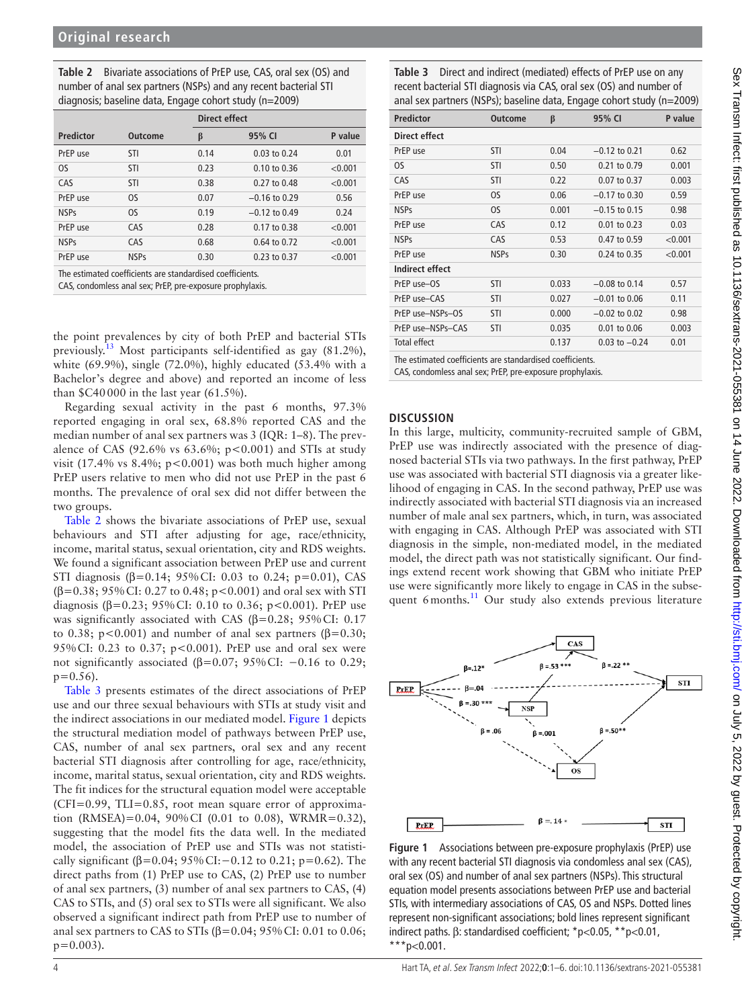<span id="page-3-0"></span>**Table 2** Bivariate associations of PrEP use, CAS, oral sex (OS) and number of anal sex partners (NSPs) and any recent bacterial STI diagnosis; baseline data, Engage cohort study (n=2009)

|                                                           |                |      | Direct effect    |         |  |  |
|-----------------------------------------------------------|----------------|------|------------------|---------|--|--|
| <b>Predictor</b>                                          | <b>Outcome</b> | β    | 95% CI           | P value |  |  |
| PrEP use                                                  | STI            | 0.14 | $0.03$ to 0.24   | 0.01    |  |  |
| 0S                                                        | STI            | 0.23 | $0.10$ to $0.36$ | < 0.001 |  |  |
| CAS                                                       | STI            | 0.38 | 0.27 to 0.48     | < 0.001 |  |  |
| PrEP use                                                  | <b>OS</b>      | 0.07 | $-0.16$ to 0.29  | 0.56    |  |  |
| <b>NSPs</b>                                               | <b>OS</b>      | 0.19 | $-0.12$ to 0.49  | 0.24    |  |  |
| PrEP use                                                  | CAS            | 0.28 | 0.17 to 0.38     | < 0.001 |  |  |
| <b>NSPs</b>                                               | CAS            | 0.68 | $0.64$ to 0.72   | < 0.001 |  |  |
| PrEP use                                                  | <b>NSPs</b>    | 0.30 | 0.23 to 0.37     | < 0.001 |  |  |
| The estimated coefficients are standardised coefficients. |                |      |                  |         |  |  |

CAS, condomless anal sex; PrEP, pre-exposure prophylaxis.

the point prevalences by city of both PrEP and bacterial STIs previously.<sup>13</sup> Most participants self-identified as gay  $(81.2\%)$ , white (69.9%), single (72.0%), highly educated (53.4% with a Bachelor's degree and above) and reported an income of less than \$C40000 in the last year (61.5%).

Regarding sexual activity in the past 6 months, 97.3% reported engaging in oral sex, 68.8% reported CAS and the median number of anal sex partners was 3 (IQR: 1–8). The prevalence of CAS (92.6% vs  $63.6\%$ ;  $p<0.001$ ) and STIs at study visit (17.4% vs  $8.4\%$ ;  $p < 0.001$ ) was both much higher among PrEP users relative to men who did not use PrEP in the past 6 months. The prevalence of oral sex did not differ between the two groups.

[Table](#page-3-0) 2 shows the bivariate associations of PrEP use, sexual behaviours and STI after adjusting for age, race/ethnicity, income, marital status, sexual orientation, city and RDS weights. We found a significant association between PrEP use and current STI diagnosis (β=0.14; 95% CI: 0.03 to 0.24; p=0.01), CAS ( $\beta$ =0.38; 95% CI: 0.27 to 0.48; p<0.001) and oral sex with STI diagnosis (β=0.23; 95% CI: 0.10 to 0.36; p<0.001). PrEP use was significantly associated with CAS ( $\beta$ =0.28; 95%CI: 0.17 to 0.38; p<0.001) and number of anal sex partners ( $\beta$ =0.30; 95%CI: 0.23 to 0.37; p<0.001). PrEP use and oral sex were not significantly associated (β=0.07; 95%CI:  $-0.16$  to 0.29;  $p=0.56$ ).

[Table](#page-3-1) 3 presents estimates of the direct associations of PrEP use and our three sexual behaviours with STIs at study visit and the indirect associations in our mediated model. [Figure](#page-3-2) 1 depicts the structural mediation model of pathways between PrEP use, CAS, number of anal sex partners, oral sex and any recent bacterial STI diagnosis after controlling for age, race/ethnicity, income, marital status, sexual orientation, city and RDS weights. The fit indices for the structural equation model were acceptable (CFI=0.99, TLI=0.85, root mean square error of approximation (RMSEA)=0.04, 90%CI (0.01 to 0.08), WRMR=0.32), suggesting that the model fits the data well. In the mediated model, the association of PrEP use and STIs was not statistically significant (β=0.04; 95% CI: −0.12 to 0.21; p=0.62). The direct paths from (1) PrEP use to CAS, (2) PrEP use to number of anal sex partners, (3) number of anal sex partners to CAS, (4) CAS to STIs, and (5) oral sex to STIs were all significant. We also observed a significant indirect path from PrEP use to number of anal sex partners to CAS to STIs ( $\beta$ =0.04; 95%CI: 0.01 to 0.06;  $p=0.003$ ).

<span id="page-3-1"></span>**Table 3** Direct and indirect (mediated) effects of PrEP use on any recent bacterial STI diagnosis via CAS, oral sex (OS) and number of anal sex partners (NSPs); baseline data, Engage cohort study (n=2009)

| <b>Predictor</b>    | <b>Outcome</b> | β     | 95% CI            | P value |
|---------------------|----------------|-------|-------------------|---------|
| Direct effect       |                |       |                   |         |
| PrEP use            | STI            | 0.04  | $-0.12$ to 0.21   | 0.62    |
| OS.                 | STI            | 0.50  | 0.21 to 0.79      | 0.001   |
| CAS                 | STI            | 0.22  | 0.07 to 0.37      | 0.003   |
| PrEP use            | OS.            | 0.06  | $-0.17$ to 0.30   | 0.59    |
| <b>NSPs</b>         | OS.            | 0.001 | $-0.15$ to 0.15   | 0.98    |
| PrEP use            | CAS            | 0.12  | $0.01$ to $0.23$  | 0.03    |
| <b>NSPs</b>         | CAS            | 0.53  | 0.47 to 0.59      | < 0.001 |
| PrEP use            | <b>NSPs</b>    | 0.30  | 0.24 to 0.35      | < 0.001 |
| Indirect effect     |                |       |                   |         |
| PrEP use-OS         | STI            | 0.033 | $-0.08$ to 0.14   | 0.57    |
| PrEP use-CAS        | STI            | 0.027 | $-0.01$ to 0.06   | 0.11    |
| PrEP use-NSPs-OS    | STI            | 0.000 | $-0.02$ to 0.02   | 0.98    |
| PrEP use-NSPs-CAS   | STI            | 0.035 | 0.01 to 0.06      | 0.003   |
| <b>Total effect</b> |                | 0.137 | $0.03$ to $-0.24$ | 0.01    |
|                     |                |       |                   |         |

The estimated coefficients are standardised coefficients.

CAS, condomless anal sex; PrEP, pre-exposure prophylaxis.

#### **DISCUSSION**

In this large, multicity, community-recruited sample of GBM, PrEP use was indirectly associated with the presence of diagnosed bacterial STIs via two pathways. In the first pathway, PrEP use was associated with bacterial STI diagnosis via a greater likelihood of engaging in CAS. In the second pathway, PrEP use was indirectly associated with bacterial STI diagnosis via an increased number of male anal sex partners, which, in turn, was associated with engaging in CAS. Although PrEP was associated with STI diagnosis in the simple, non-mediated model, in the mediated model, the direct path was not statistically significant. Our findings extend recent work showing that GBM who initiate PrEP use were significantly more likely to engage in CAS in the subse-quent 6 months.<sup>[11](#page-5-8)</sup> Our study also extends previous literature





<span id="page-3-2"></span>**Figure 1** Associations between pre-exposure prophylaxis (PrEP) use with any recent bacterial STI diagnosis via condomless anal sex (CAS), oral sex (OS) and number of anal sex partners (NSPs). This structural equation model presents associations between PrEP use and bacterial STIs, with intermediary associations of CAS, OS and NSPs. Dotted lines represent non-significant associations; bold lines represent significant indirect paths. β: standardised coefficient; \*p<0.05, \*\*p<0.01,  $***p<0.001$ .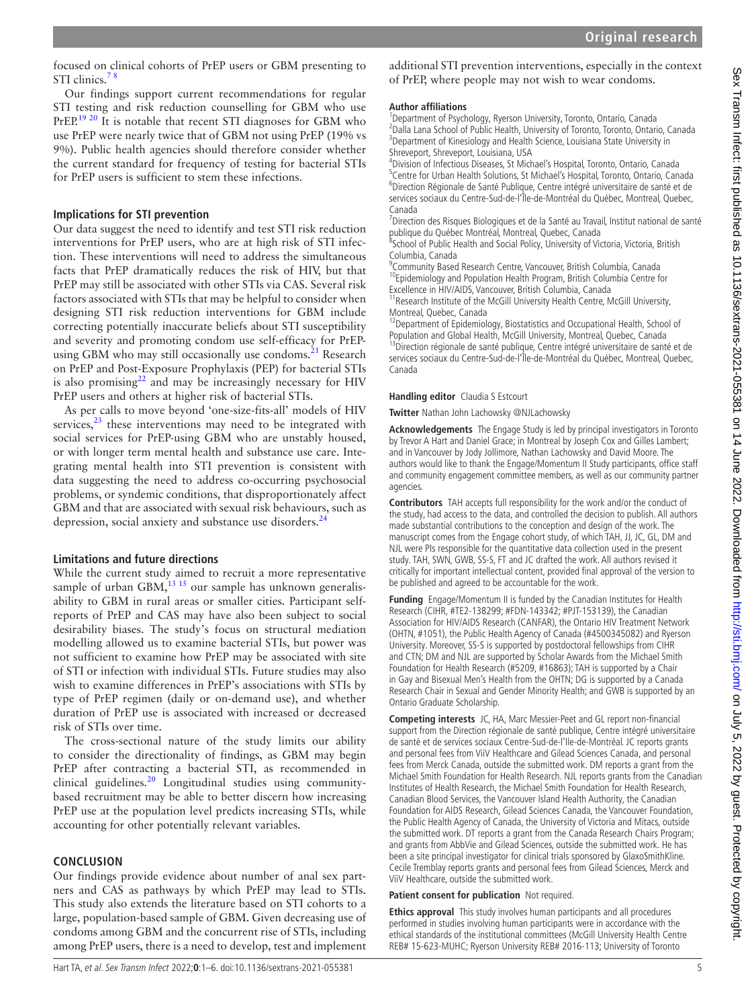focused on clinical cohorts of PrEP users or GBM presenting to STI clinics.<sup>7</sup>

Our findings support current recommendations for regular STI testing and risk reduction counselling for GBM who use PrEP.<sup>19 20</sup> It is notable that recent STI diagnoses for GBM who use PrEP were nearly twice that of GBM not using PrEP (19% vs 9%). Public health agencies should therefore consider whether the current standard for frequency of testing for bacterial STIs for PrEP users is sufficient to stem these infections.

## **Implications for STI prevention**

Our data suggest the need to identify and test STI risk reduction interventions for PrEP users, who are at high risk of STI infection. These interventions will need to address the simultaneous facts that PrEP dramatically reduces the risk of HIV, but that PrEP may still be associated with other STIs via CAS. Several risk factors associated with STIs that may be helpful to consider when designing STI risk reduction interventions for GBM include correcting potentially inaccurate beliefs about STI susceptibility and severity and promoting condom use self-efficacy for PrEPusing GBM who may still occasionally use condoms.<sup>21</sup> Research on PrEP and Post-Exposure Prophylaxis (PEP) for bacterial STIs is also promising $22$  and may be increasingly necessary for HIV PrEP users and others at higher risk of bacterial STIs.

As per calls to move beyond 'one-size-fits-all' models of HIV services, $^{23}$  these interventions may need to be integrated with social services for PrEP-using GBM who are unstably housed, or with longer term mental health and substance use care. Integrating mental health into STI prevention is consistent with data suggesting the need to address co-occurring psychosocial problems, or syndemic conditions, that disproportionately affect GBM and that are associated with sexual risk behaviours, such as depression, social anxiety and substance use disorders.<sup>24</sup>

## **Limitations and future directions**

While the current study aimed to recruit a more representative sample of urban GBM, $^{13}$  15 our sample has unknown generalisability to GBM in rural areas or smaller cities. Participant selfreports of PrEP and CAS may have also been subject to social desirability biases. The study's focus on structural mediation modelling allowed us to examine bacterial STIs, but power was not sufficient to examine how PrEP may be associated with site of STI or infection with individual STIs. Future studies may also wish to examine differences in PrEP's associations with STIs by type of PrEP regimen (daily or on-demand use), and whether duration of PrEP use is associated with increased or decreased risk of STIs over time.

The cross-sectional nature of the study limits our ability to consider the directionality of findings, as GBM may begin PrEP after contracting a bacterial STI, as recommended in clinical guidelines[.20](#page-5-21) Longitudinal studies using communitybased recruitment may be able to better discern how increasing PrEP use at the population level predicts increasing STIs, while accounting for other potentially relevant variables.

## **CONCLUSION**

Our findings provide evidence about number of anal sex partners and CAS as pathways by which PrEP may lead to STIs. This study also extends the literature based on STI cohorts to a large, population-based sample of GBM. Given decreasing use of condoms among GBM and the concurrent rise of STIs, including among PrEP users, there is a need to develop, test and implement

additional STI prevention interventions, especially in the context of PrEP, where people may not wish to wear condoms.

## **Author affiliations**

<sup>1</sup>Department of Psychology, Ryerson University, Toronto, Ontario, Canada 2 Dalla Lana School of Public Health, University of Toronto, Toronto, Ontario, Canada <sup>3</sup>Department of Kinesiology and Health Science, Louisiana State University in Shreveport, Shreveport, Louisiana, USA

<sup>4</sup>Division of Infectious Diseases, St Michael's Hospital, Toronto, Ontario, Canada <sup>5</sup>Centre for Urban Health Solutions, St Michael's Hospital, Toronto, Ontario, Canada 6 Direction Régionale de Santé Publique, Centre intégré universitaire de santé et de services sociaux du Centre-Sud-de-l'Île-de-Montréal du Québec, Montreal, Quebec, Canada

<sup>7</sup>Direction des Risques Biologiques et de la Santé au Travail, Institut national de santé publique du Québec Montréal, Montreal, Quebec, Canada

<sup>8</sup>School of Public Health and Social Policy, University of Victoria, Victoria, British Columbia, Canada

<sup>9</sup> Community Based Research Centre, Vancouver, British Columbia, Canada <sup>10</sup>Epidemiology and Population Health Program, British Columbia Centre for Excellence in HIV/AIDS, Vancouver, British Columbia, Canada

<sup>11</sup>Research Institute of the McGill University Health Centre, McGill University, Montreal, Quebec, Canada

<sup>12</sup>Department of Epidemiology, Biostatistics and Occupational Health, School of Population and Global Health, McGill University, Montreal, Quebec, Canada

<sup>13</sup>Direction régionale de santé publique, Centre intégré universitaire de santé et de services sociaux du Centre-Sud-de-l'Île-de-Montréal du Québec, Montreal, Quebec, Canada

## **Handling editor** Claudia S Estcourt

**Twitter** Nathan John Lachowsky [@NJLachowsky](https://twitter.com/NJLachowsky)

**Acknowledgements** The Engage Study is led by principal investigators in Toronto by Trevor A Hart and Daniel Grace; in Montreal by Joseph Cox and Gilles Lambert; and in Vancouver by Jody Jollimore, Nathan Lachowsky and David Moore. The authors would like to thank the Engage/Momentum II Study participants, office staff and community engagement committee members, as well as our community partner agencies.

**Contributors** TAH accepts full responsibility for the work and/or the conduct of the study, had access to the data, and controlled the decision to publish. All authors made substantial contributions to the conception and design of the work. The manuscript comes from the Engage cohort study, of which TAH, JJ, JC, GL, DM and NJL were PIs responsible for the quantitative data collection used in the present study. TAH, SWN, GWB, SS-S, FT and JC drafted the work. All authors revised it critically for important intellectual content, provided final approval of the version to be published and agreed to be accountable for the work.

**Funding** Engage/Momentum II is funded by the Canadian Institutes for Health Research (CIHR, #TE2-138299; #FDN-143342; #PJT-153139), the Canadian Association for HIV/AIDS Research (CANFAR), the Ontario HIV Treatment Network (OHTN, #1051), the Public Health Agency of Canada (#4500345082) and Ryerson University. Moreover, SS-S is supported by postdoctoral fellowships from CIHR and CTN; DM and NJL are supported by Scholar Awards from the Michael Smith Foundation for Health Research (#5209, #16863); TAH is supported by a Chair in Gay and Bisexual Men's Health from the OHTN; DG is supported by a Canada Research Chair in Sexual and Gender Minority Health; and GWB is supported by an Ontario Graduate Scholarship.

**Competing interests** JC, HA, Marc Messier-Peet and GL report non-financial support from the Direction régionale de santé publique, Centre intégré universitaire de santé et de services sociaux Centre-Sud-de-l'Ile-de-Montréal. JC reports grants and personal fees from ViiV Healthcare and Gilead Sciences Canada, and personal fees from Merck Canada, outside the submitted work. DM reports a grant from the Michael Smith Foundation for Health Research. NJL reports grants from the Canadian Institutes of Health Research, the Michael Smith Foundation for Health Research, Canadian Blood Services, the Vancouver Island Health Authority, the Canadian Foundation for AIDS Research, Gilead Sciences Canada, the Vancouver Foundation, the Public Health Agency of Canada, the University of Victoria and Mitacs, outside the submitted work. DT reports a grant from the Canada Research Chairs Program; and grants from AbbVie and Gilead Sciences, outside the submitted work. He has been a site principal investigator for clinical trials sponsored by GlaxoSmithKline. Cecile Tremblay reports grants and personal fees from Gilead Sciences, Merck and ViiV Healthcare, outside the submitted work.

## **Patient consent for publication** Not required.

**Ethics approval** This study involves human participants and all procedures performed in studies involving human participants were in accordance with the ethical standards of the institutional committees (McGill University Health Centre REB# 15-623-MUHC; Ryerson University REB# 2016-113; University of Toronto